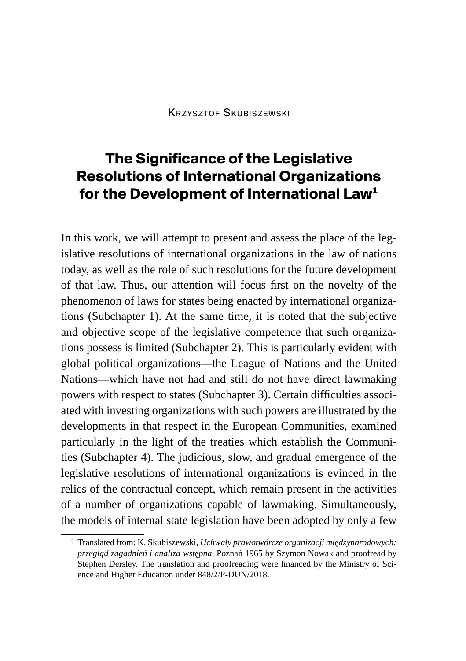# **The Significance of the Legislative Resolutions of International Organizations for the Development of International Law1**

In this work, we will attempt to present and assess the place of the legislative resolutions of international organizations in the law of nations today, as well as the role of such resolutions for the future development of that law. Thus, our attention will focus first on the novelty of the phenomenon of laws for states being enacted by international organizations (Subchapter 1). At the same time, it is noted that the subjective and objective scope of the legislative competence that such organizations possess is limited (Subchapter 2). This is particularly evident with global political organizations—the League of Nations and the United Nations—which have not had and still do not have direct lawmaking powers with respect to states (Subchapter 3). Certain difficulties associated with investing organizations with such powers are illustrated by the developments in that respect in the European Communities, examined particularly in the light of the treaties which establish the Communities (Subchapter 4). The judicious, slow, and gradual emergence of the legislative resolutions of international organizations is evinced in the relics of the contractual concept, which remain present in the activities of a number of organizations capable of lawmaking. Simultaneously, the models of internal state legislation have been adopted by only a few

<sup>1</sup> Translated from: K. Skubiszewski, *Uchwały prawotwórcze organizacji międzynarodowych: przegląd zagadnień i analiza wstępna*, Poznań 1965 by Szymon Nowak and proofread by Stephen Dersley. The translation and proofreading were financed by the Ministry of Science and Higher Education under 848/2/P-DUN/2018.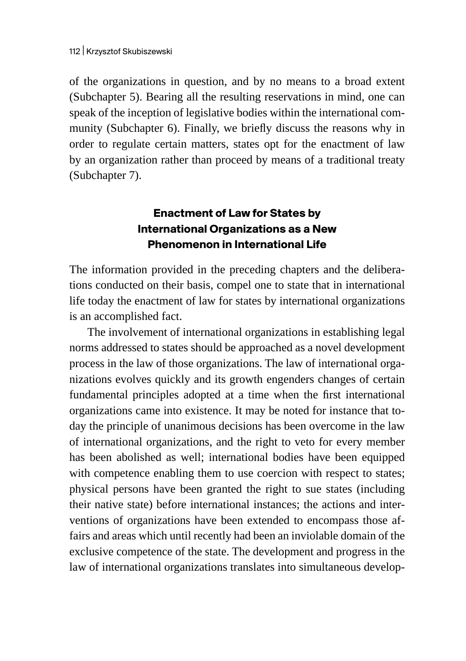of the organizations in question, and by no means to a broad extent (Subchapter 5). Bearing all the resulting reservations in mind, one can speak of the inception of legislative bodies within the international community (Subchapter 6). Finally, we briefly discuss the reasons why in order to regulate certain matters, states opt for the enactment of law by an organization rather than proceed by means of a traditional treaty (Subchapter 7).

## **Enactment of Law for States by International Organizations as a New Phenomenon in International Life**

The information provided in the preceding chapters and the deliberations conducted on their basis, compel one to state that in international life today the enactment of law for states by international organizations is an accomplished fact.

The involvement of international organizations in establishing legal norms addressed to states should be approached as a novel development process in the law of those organizations. The law of international organizations evolves quickly and its growth engenders changes of certain fundamental principles adopted at a time when the first international organizations came into existence. It may be noted for instance that today the principle of unanimous decisions has been overcome in the law of international organizations, and the right to veto for every member has been abolished as well; international bodies have been equipped with competence enabling them to use coercion with respect to states; physical persons have been granted the right to sue states (including their native state) before international instances; the actions and interventions of organizations have been extended to encompass those affairs and areas which until recently had been an inviolable domain of the exclusive competence of the state. The development and progress in the law of international organizations translates into simultaneous develop-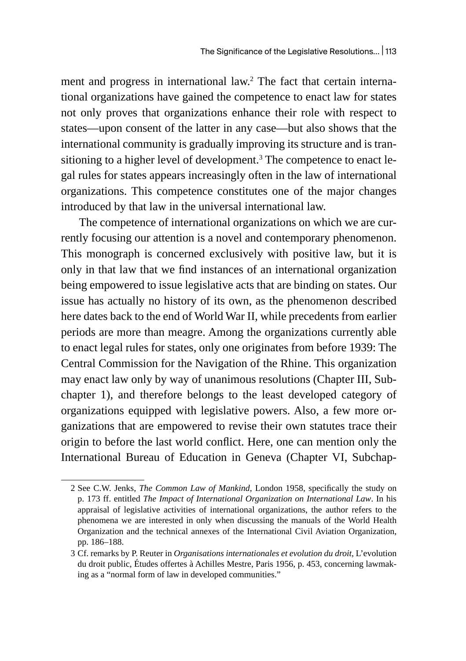ment and progress in international law.2 The fact that certain international organizations have gained the competence to enact law for states not only proves that organizations enhance their role with respect to states—upon consent of the latter in any case—but also shows that the international community is gradually improving its structure and is transitioning to a higher level of development.<sup>3</sup> The competence to enact legal rules for states appears increasingly often in the law of international organizations. This competence constitutes one of the major changes introduced by that law in the universal international law.

The competence of international organizations on which we are currently focusing our attention is a novel and contemporary phenomenon. This monograph is concerned exclusively with positive law, but it is only in that law that we find instances of an international organization being empowered to issue legislative acts that are binding on states. Our issue has actually no history of its own, as the phenomenon described here dates back to the end of World War II, while precedents from earlier periods are more than meagre. Among the organizations currently able to enact legal rules for states, only one originates from before 1939: The Central Commission for the Navigation of the Rhine. This organization may enact law only by way of unanimous resolutions (Chapter III, Subchapter 1), and therefore belongs to the least developed category of organizations equipped with legislative powers. Also, a few more organizations that are empowered to revise their own statutes trace their origin to before the last world conflict. Here, one can mention only the International Bureau of Education in Geneva (Chapter VI, Subchap-

<sup>2</sup> See C.W. Jenks, *The Common Law of Mankind*, London 1958, specifically the study on p. 173 ff. entitled *The Impact of International Organization on International Law*. In his appraisal of legislative activities of international organizations, the author refers to the phenomena we are interested in only when discussing the manuals of the World Health Organization and the technical annexes of the International Civil Aviation Organization, pp. 186–188.

<sup>3</sup> Cf. remarks by P. Reuter in *Organisations internationales et evolution du droit*, L'evolution du droit public, Études offertes à Achilles Mestre, Paris 1956, p. 453, concerning lawmaking as a "normal form of law in developed communities."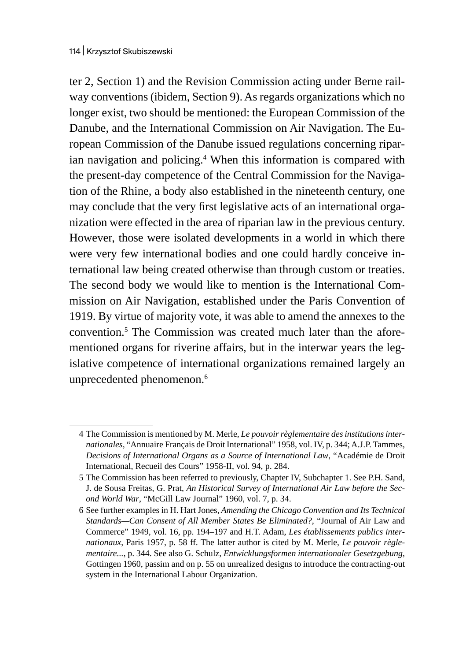ter 2, Section 1) and the Revision Commission acting under Berne railway conventions (ibidem, Section 9). As regards organizations which no longer exist, two should be mentioned: the European Commission of the Danube, and the International Commission on Air Navigation. The European Commission of the Danube issued regulations concerning riparian navigation and policing.4 When this information is compared with the present-day competence of the Central Commission for the Navigation of the Rhine, a body also established in the nineteenth century, one may conclude that the very first legislative acts of an international organization were effected in the area of riparian law in the previous century. However, those were isolated developments in a world in which there were very few international bodies and one could hardly conceive international law being created otherwise than through custom or treaties. The second body we would like to mention is the International Commission on Air Navigation, established under the Paris Convention of 1919. By virtue of majority vote, it was able to amend the annexes to the convention.<sup>5</sup> The Commission was created much later than the aforementioned organs for riverine affairs, but in the interwar years the legislative competence of international organizations remained largely an unprecedented phenomenon.<sup>6</sup>

<sup>4</sup> The Commission is mentioned by M. Merle, *Le pouvoir règlementaire des institutions internationales*, "Annuaire Français de Droit International" 1958, vol. IV, p. 344; A.J.P. Tammes, *Decisions of International Organs as a Source of International Law*, "Académie de Droit International, Recueil des Cours" 1958-II, vol. 94, p. 284.

<sup>5</sup> The Commission has been referred to previously, Chapter IV, Subchapter 1. See P.H. Sand, J. de Sousa Freitas, G. Prat, *An Historical Survey of International Air Law before the Second World War*, "McGill Law Journal" 1960, vol. 7, p. 34.

<sup>6</sup> See further examples in H. Hart Jones, *Amending the Chicago Convention and Its Technical Standards—Can Consent of All Member States Be Eliminated?*, "Journal of Air Law and Commerce" 1949, vol. 16, pp. 194–197 and H.T. Adam, *Les établissements publics internationaux*, Paris 1957, p. 58 ff. The latter author is cited by M. Merle, *Le pouvoir règlementaire...*, p. 344. See also G. Schulz, *Entwicklungsformen internationaler Gesetzgebung*, Gottingen 1960, passim and on p. 55 on unrealized designs to introduce the contracting-out system in the International Labour Organization.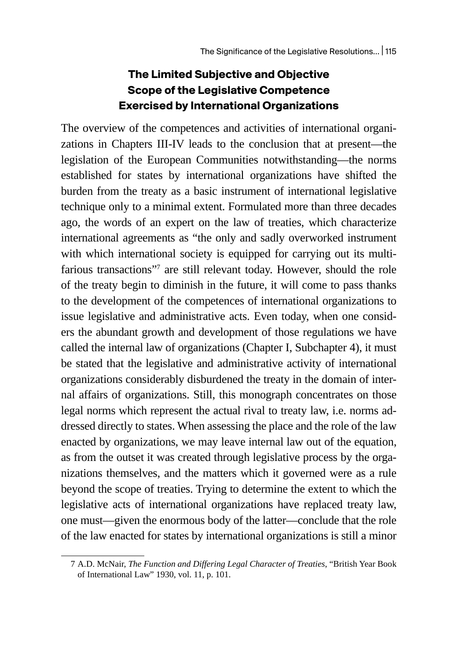### **The Limited Subjective and Objective Scope of the Legislative Competence Exercised by International Organizations**

The overview of the competences and activities of international organizations in Chapters III-IV leads to the conclusion that at present—the legislation of the European Communities notwithstanding—the norms established for states by international organizations have shifted the burden from the treaty as a basic instrument of international legislative technique only to a minimal extent. Formulated more than three decades ago, the words of an expert on the law of treaties, which characterize international agreements as "the only and sadly overworked instrument with which international society is equipped for carrying out its multifarious transactions"7 are still relevant today. However, should the role of the treaty begin to diminish in the future, it will come to pass thanks to the development of the competences of international organizations to issue legislative and administrative acts. Even today, when one considers the abundant growth and development of those regulations we have called the internal law of organizations (Chapter I, Subchapter 4), it must be stated that the legislative and administrative activity of international organizations considerably disburdened the treaty in the domain of internal affairs of organizations. Still, this monograph concentrates on those legal norms which represent the actual rival to treaty law, i.e. norms addressed directly to states. When assessing the place and the role of the law enacted by organizations, we may leave internal law out of the equation, as from the outset it was created through legislative process by the organizations themselves, and the matters which it governed were as a rule beyond the scope of treaties. Trying to determine the extent to which the legislative acts of international organizations have replaced treaty law, one must—given the enormous body of the latter—conclude that the role of the law enacted for states by international organizations is still a minor

<sup>7</sup> A.D. McNair, *The Function and Differing Legal Character of Treaties*, "British Year Book of International Law" 1930, vol. 11, p. 101.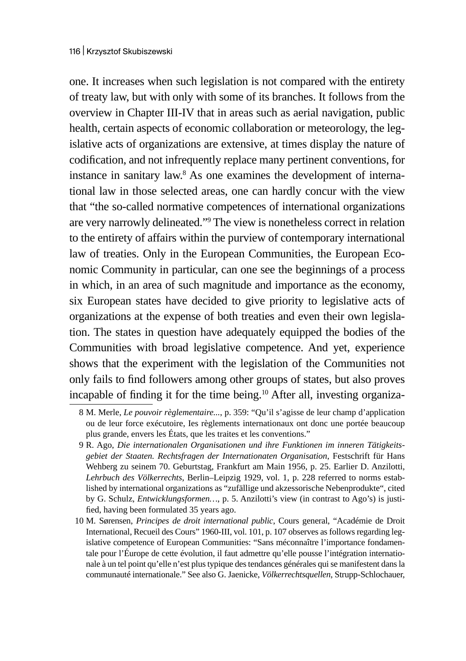one. It increases when such legislation is not compared with the entirety of treaty law, but with only with some of its branches. It follows from the overview in Chapter III-IV that in areas such as aerial navigation, public health, certain aspects of economic collaboration or meteorology, the legislative acts of organizations are extensive, at times display the nature of codification, and not infrequently replace many pertinent conventions, for instance in sanitary law.<sup>8</sup> As one examines the development of international law in those selected areas, one can hardly concur with the view that "the so-called normative competences of international organizations are very narrowly delineated."<sup>9</sup> The view is nonetheless correct in relation to the entirety of affairs within the purview of contemporary international law of treaties. Only in the European Communities, the European Economic Community in particular, can one see the beginnings of a process in which, in an area of such magnitude and importance as the economy, six European states have decided to give priority to legislative acts of organizations at the expense of both treaties and even their own legislation. The states in question have adequately equipped the bodies of the Communities with broad legislative competence. And yet, experience shows that the experiment with the legislation of the Communities not only fails to find followers among other groups of states, but also proves incapable of finding it for the time being.<sup>10</sup> After all, investing organiza-

<sup>8</sup> M. Merle, *Le pouvoir règlementaire...*, p. 359: "Qu'il s'agisse de leur champ d'application ou de leur force exécutoire, Ies règlements internationaux ont donc une portée beaucoup plus grande, envers les États, que les traites et les conventions."

<sup>9</sup> R. Ago, *Die internationalen Organisationen und ihre Funktionen im inneren Tätigkeitsgebiet der Staaten. Rechtsfragen der Internationaten Organisation*, Festschrift für Hans Wehberg zu seinem 70. Geburtstag, Frankfurt am Main 1956, p. 25. Earlier D. Anzilotti, *Lehrbuch des Völkerrechts*, Berlin–Leipzig 1929, vol. 1, p. 228 referred to norms established by international organizations as "zufällige und akzessorische Nebenprodukte", cited by G. Schulz, *Entwicklungsformen…*, p. 5. Anzilotti's view (in contrast to Ago's) is justified, having been formulated 35 years ago.

<sup>10</sup> M. Sørensen, *Principes de droit international public*, Cours general, "Académie de Droit International, Recueil des Cours" 1960-III, vol. 101, p. 107 observes as follows regarding legislative competence of European Communities: "Sans méconnaître l'importance fondamentale pour l'Éurope de cette évolution, il faut admettre qu'elle pousse l'intégration internationale à un tel point qu'elle n'est plus typique des tendances générales qui se manifestent dans la communauté internationale." See also G. Jaenicke, *Völkerrechtsquellen*, Strupp-Schlochauer,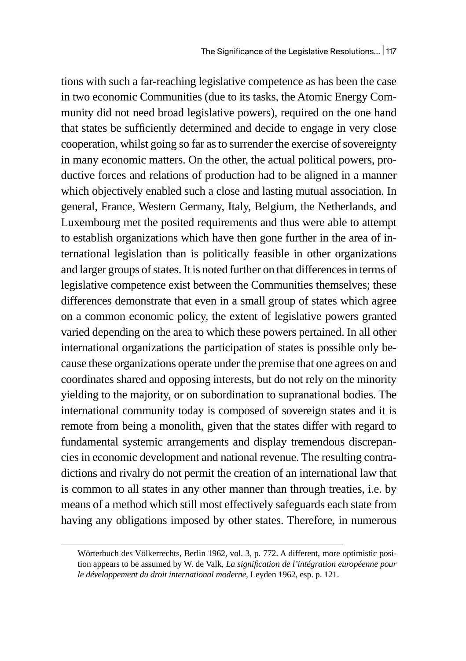tions with such a far-reaching legislative competence as has been the case in two economic Communities (due to its tasks, the Atomic Energy Community did not need broad legislative powers), required on the one hand that states be sufficiently determined and decide to engage in very close cooperation, whilst going so far as to surrender the exercise of sovereignty in many economic matters. On the other, the actual political powers, productive forces and relations of production had to be aligned in a manner which objectively enabled such a close and lasting mutual association. In general, France, Western Germany, Italy, Belgium, the Netherlands, and Luxembourg met the posited requirements and thus were able to attempt to establish organizations which have then gone further in the area of international legislation than is politically feasible in other organizations and larger groups of states. It is noted further on that differences in terms of legislative competence exist between the Communities themselves; these differences demonstrate that even in a small group of states which agree on a common economic policy, the extent of legislative powers granted varied depending on the area to which these powers pertained. In all other international organizations the participation of states is possible only because these organizations operate under the premise that one agrees on and coordinates shared and opposing interests, but do not rely on the minority yielding to the majority, or on subordination to supranational bodies. The international community today is composed of sovereign states and it is remote from being a monolith, given that the states differ with regard to fundamental systemic arrangements and display tremendous discrepancies in economic development and national revenue. The resulting contradictions and rivalry do not permit the creation of an international law that is common to all states in any other manner than through treaties, i.e. by means of a method which still most effectively safeguards each state from having any obligations imposed by other states. Therefore, in numerous

Wörterbuch des Völkerrechts, Berlin 1962, vol. 3, p. 772. A different, more optimistic position appears to be assumed by W. de Valk, *La signification de l'intégration européenne pour le développement du droit international moderne*, Leyden 1962, esp. p. 121.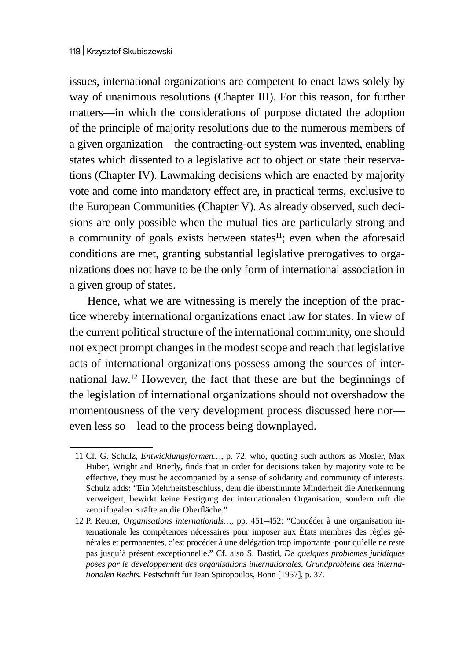issues, international organizations are competent to enact laws solely by way of unanimous resolutions (Chapter III). For this reason, for further matters—in which the considerations of purpose dictated the adoption of the principle of majority resolutions due to the numerous members of a given organization—the contracting-out system was invented, enabling states which dissented to a legislative act to object or state their reservations (Chapter IV). Lawmaking decisions which are enacted by majority vote and come into mandatory effect are, in practical terms, exclusive to the European Communities (Chapter V). As already observed, such decisions are only possible when the mutual ties are particularly strong and a community of goals exists between states $11$ ; even when the aforesaid conditions are met, granting substantial legislative prerogatives to organizations does not have to be the only form of international association in a given group of states.

Hence, what we are witnessing is merely the inception of the practice whereby international organizations enact law for states. In view of the current political structure of the international community, one should not expect prompt changes in the modest scope and reach that legislative acts of international organizations possess among the sources of international law.12 However, the fact that these are but the beginnings of the legislation of international organizations should not overshadow the momentousness of the very development process discussed here nor even less so—lead to the process being downplayed.

<sup>11</sup> Cf. G. Schulz, *Entwicklungsformen…*, p. 72, who, quoting such authors as Mosler, Max Huber, Wright and Brierly, finds that in order for decisions taken by majority vote to be effective, they must be accompanied by a sense of solidarity and community of interests. Schulz adds: "Ein Mehrheitsbeschluss, dem die überstimmte Minderheit die Anerkennung verweigert, bewirkt keine Festigung der internationalen Organisation, sondern ruft die zentrifugalen Kräfte an die Oberfläche."

<sup>12</sup> P. Reuter, *Organisations internationals…*, pp. 451–452: "Concéder à une organisation internationale les compétences nécessaires pour imposer aux États membres des règles générales et permanentes, c'est procéder à une délégation trop importante ·pour qu'elle ne reste pas jusqu'à présent exceptionnelle." Cf. also S. Bastid, *De quelques problèmes juridiques poses par le développement des organisations internationales*, *Grundprobleme des internationalen Rechts.* Festschrift für Jean Spiropoulos, Bonn [1957], p. 37.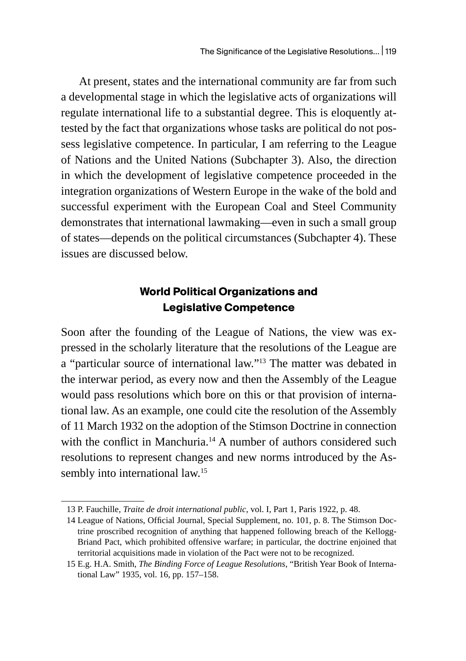At present, states and the international community are far from such a developmental stage in which the legislative acts of organizations will regulate international life to a substantial degree. This is eloquently attested by the fact that organizations whose tasks are political do not possess legislative competence. In particular, I am referring to the League of Nations and the United Nations (Subchapter 3). Also, the direction in which the development of legislative competence proceeded in the integration organizations of Western Europe in the wake of the bold and successful experiment with the European Coal and Steel Community demonstrates that international lawmaking—even in such a small group of states—depends on the political circumstances (Subchapter 4). These issues are discussed below.

### **World Political Organizations and Legislative Competence**

Soon after the founding of the League of Nations, the view was expressed in the scholarly literature that the resolutions of the League are a "particular source of international law."13 The matter was debated in the interwar period, as every now and then the Assembly of the League would pass resolutions which bore on this or that provision of international law. As an example, one could cite the resolution of the Assembly of 11 March 1932 on the adoption of the Stimson Doctrine in connection with the conflict in Manchuria.<sup>14</sup> A number of authors considered such resolutions to represent changes and new norms introduced by the Assembly into international law.<sup>15</sup>

<sup>13</sup> P. Fauchille, *Traite de droit international public*, vol. I, Part 1, Paris 1922, p. 48.

<sup>14</sup> League of Nations, Official Journal, Special Supplement, no. 101, p. 8. The Stimson Doctrine proscribed recognition of anything that happened following breach of the Kellogg-Briand Pact, which prohibited offensive warfare; in particular, the doctrine enjoined that territorial acquisitions made in violation of the Pact were not to be recognized.

<sup>15</sup> E.g. H.A. Smith, *The Binding Force of League Resolutions*, "British Year Book of International Law" 1935, vol. 16, pp. 157–158.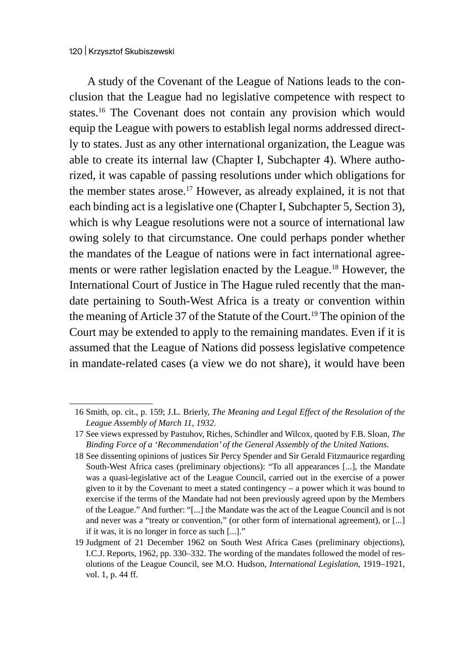A study of the Covenant of the League of Nations leads to the conclusion that the League had no legislative competence with respect to states.<sup>16</sup> The Covenant does not contain any provision which would equip the League with powers to establish legal norms addressed directly to states. Just as any other international organization, the League was able to create its internal law (Chapter I, Subchapter 4). Where authorized, it was capable of passing resolutions under which obligations for the member states arose.<sup>17</sup> However, as already explained, it is not that each binding act is a legislative one (Chapter I, Subchapter 5, Section 3), which is why League resolutions were not a source of international law owing solely to that circumstance. One could perhaps ponder whether the mandates of the League of nations were in fact international agreements or were rather legislation enacted by the League.<sup>18</sup> However, the International Court of Justice in The Hague ruled recently that the mandate pertaining to South-West Africa is a treaty or convention within the meaning of Article 37 of the Statute of the Court.<sup>19</sup> The opinion of the Court may be extended to apply to the remaining mandates. Even if it is assumed that the League of Nations did possess legislative competence in mandate-related cases (a view we do not share), it would have been

<sup>16</sup> Smith, op. cit., p. 159; J.L. Brierly, *The Meaning and Legal Effect of the Resolution of the League Assembly of March 11, 1932*.

<sup>17</sup> See views expressed by Pastuhov, Riches, Schindler and Wilcox, quoted by F.B. Sloan, *The Binding Force of a 'Recommendation' of the General Assembly of the United Nations*.

<sup>18</sup> See dissenting opinions of justices Sir Percy Spender and Sir Gerald Fitzmaurice regarding South-West Africa cases (preliminary objections): "To all appearances [...], the Mandate was a quasi-legislative act of the League Council, carried out in the exercise of a power given to it by the Covenant to meet a stated contingency – a power which it was bound to exercise if the terms of the Mandate had not been previously agreed upon by the Members of the League." And further: "[...] the Mandate was the act of the League Council and is not and never was a "treaty or convention," (or other form of international agreement), or [...] if it was, it is no longer in force as such [...]."

<sup>19</sup> Judgment of 21 December 1962 on South West Africa Cases (preliminary objections), I.C.J. Reports, 1962, pp. 330–332. The wording of the mandates followed the model of resolutions of the League Council, see M.O. Hudson, *International Legislation*, 1919–1921, vol. 1, p. 44 ff.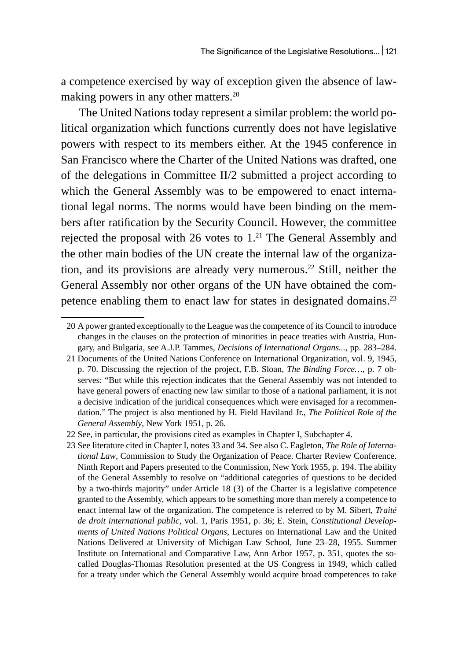a competence exercised by way of exception given the absence of lawmaking powers in any other matters.<sup>20</sup>

The United Nations today represent a similar problem: the world political organization which functions currently does not have legislative powers with respect to its members either. At the 1945 conference in San Francisco where the Charter of the United Nations was drafted, one of the delegations in Committee II/2 submitted a project according to which the General Assembly was to be empowered to enact international legal norms. The norms would have been binding on the members after ratification by the Security Council. However, the committee rejected the proposal with 26 votes to  $1<sup>21</sup>$  The General Assembly and the other main bodies of the UN create the internal law of the organization, and its provisions are already very numerous.<sup>22</sup> Still, neither the General Assembly nor other organs of the UN have obtained the competence enabling them to enact law for states in designated domains.<sup>23</sup>

<sup>20</sup> Apower granted exceptionally to the League was the competence of its Council to introduce changes in the clauses on the protection of minorities in peace treaties with Austria, Hungary, and Bulgaria, see A.J.P. Tammes, *Decisions of International Organs...*, pp. 283–284.

<sup>21</sup> Documents of the United Nations Conference on International Organization, vol. 9, 1945, p. 70. Discussing the rejection of the project, F.B. Sloan, *The Binding Force…*, p. 7 observes: "But while this rejection indicates that the General Assembly was not intended to have general powers of enacting new law similar to those of a national parliament, it is not a decisive indication of the juridical consequences which were envisaged for a recommendation." The project is also mentioned by H. Field Haviland Jr., *The Political Role of the General Assembly*, New York 1951, p. 26.

<sup>22</sup> See, in particular, the provisions cited as examples in Chapter I, Subchapter 4.

<sup>23</sup> See literature cited in Chapter I, notes 33 and 34. See also C. Eagleton, *The Role of International Law*, Commission to Study the Organization of Peace. Charter Review Conference. Ninth Report and Papers presented to the Commission, New York 1955, p. 194. The ability of the General Assembly to resolve on "additional categories of questions to be decided by a two-thirds majority" under Article 18 (3) of the Charter is a legislative competence granted to the Assembly, which appears to be something more than merely a competence to enact internal law of the organization. The competence is referred to by M. Sibert, *Traité de droit international public*, vol. 1, Paris 1951, p. 36; E. Stein, *Constitutional Developments of United Nations Political Organs*, Lectures on International Law and the United Nations Delivered at University of Michigan Law School, June 23–28, 1955. Summer Institute on International and Comparative Law, Ann Arbor 1957, p. 351, quotes the socalled Douglas-Thomas Resolution presented at the US Congress in 1949, which called for a treaty under which the General Assembly would acquire broad competences to take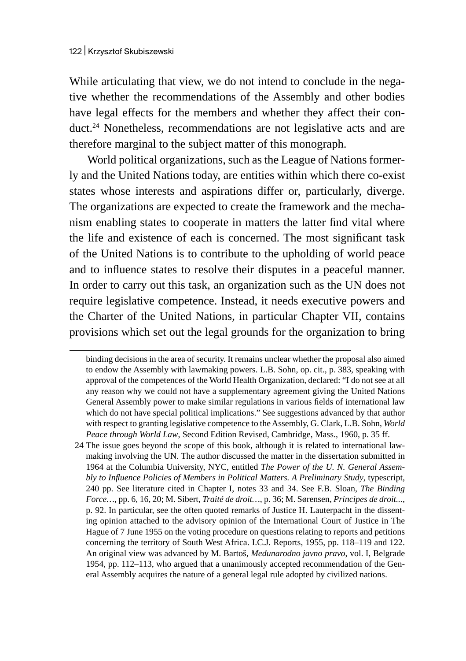While articulating that view, we do not intend to conclude in the negative whether the recommendations of the Assembly and other bodies have legal effects for the members and whether they affect their conduct.<sup>24</sup> Nonetheless, recommendations are not legislative acts and are therefore marginal to the subject matter of this monograph.

World political organizations, such as the League of Nations formerly and the United Nations today, are entities within which there co-exist states whose interests and aspirations differ or, particularly, diverge. The organizations are expected to create the framework and the mechanism enabling states to cooperate in matters the latter find vital where the life and existence of each is concerned. The most significant task of the United Nations is to contribute to the upholding of world peace and to influence states to resolve their disputes in a peaceful manner. In order to carry out this task, an organization such as the UN does not require legislative competence. Instead, it needs executive powers and the Charter of the United Nations, in particular Chapter VII, contains provisions which set out the legal grounds for the organization to bring

binding decisions in the area of security. It remains unclear whether the proposal also aimed to endow the Assembly with lawmaking powers. L.B. Sohn, op. cit., p. 383, speaking with approval of the competences of the World Health Organization, declared: "I do not see at all any reason why we could not have a supplementary agreement giving the United Nations General Assembly power to make similar regulations in various fields of international law which do not have special political implications." See suggestions advanced by that author with respect to granting legislative competence to the Assembly, G. Clark, L.B. Sohn, *World Peace through World Law*, Second Edition Revised, Cambridge, Mass., 1960, p. 35 ff.

<sup>24</sup> The issue goes beyond the scope of this book, although it is related to international lawmaking involving the UN. The author discussed the matter in the dissertation submitted in 1964 at the Columbia University, NYC, entitled *The Power of the U. N. General Assembly to Influence Policies of Members in Political Matters. A Preliminary Study*, typescript, 240 pp. See literature cited in Chapter I, notes 33 and 34. See F.B. Sloan, *The Binding Force…*, pp. 6, 16, 20; M. Sibert, *Traité de droit…*, p. 36; M. Sørensen, *Principes de droit...*, p. 92. In particular, see the often quoted remarks of Justice H. Lauterpacht in the dissenting opinion attached to the advisory opinion of the International Court of Justice in The Hague of 7 June 1955 on the voting procedure on questions relating to reports and petitions concerning the territory of South West Africa. I.C.J. Reports, 1955, pp. 118–119 and 122. An original view was advanced by M. Bartoš, *Medunarodno javno pravo*, vol. I, Belgrade 1954, pp. 112–113, who argued that a unanimously accepted recommendation of the General Assembly acquires the nature of a general legal rule adopted by civilized nations.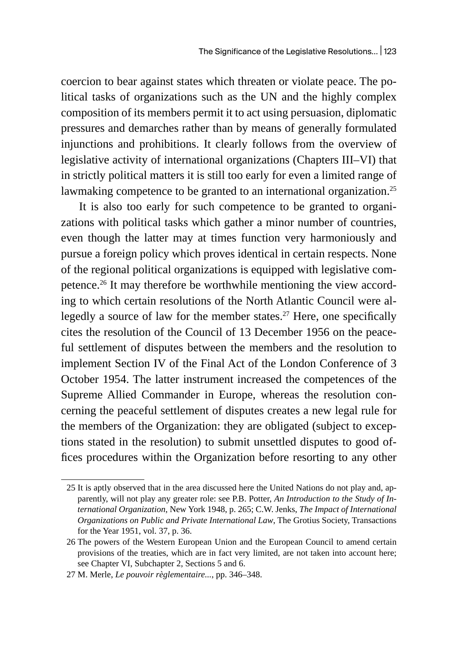coercion to bear against states which threaten or violate peace. The political tasks of organizations such as the UN and the highly complex composition of its members permit it to act using persuasion, diplomatic pressures and demarches rather than by means of generally formulated injunctions and prohibitions. It clearly follows from the overview of legislative activity of international organizations (Chapters III–VI) that in strictly political matters it is still too early for even a limited range of lawmaking competence to be granted to an international organization.<sup>25</sup>

It is also too early for such competence to be granted to organizations with political tasks which gather a minor number of countries, even though the latter may at times function very harmoniously and pursue a foreign policy which proves identical in certain respects. None of the regional political organizations is equipped with legislative competence.26 It may therefore be worthwhile mentioning the view according to which certain resolutions of the North Atlantic Council were allegedly a source of law for the member states.<sup>27</sup> Here, one specifically cites the resolution of the Council of 13 December 1956 on the peaceful settlement of disputes between the members and the resolution to implement Section IV of the Final Act of the London Conference of 3 October 1954. The latter instrument increased the competences of the Supreme Allied Commander in Europe, whereas the resolution concerning the peaceful settlement of disputes creates a new legal rule for the members of the Organization: they are obligated (subject to exceptions stated in the resolution) to submit unsettled disputes to good offices procedures within the Organization before resorting to any other

<sup>25</sup> It is aptly observed that in the area discussed here the United Nations do not play and, apparently, will not play any greater role: see P.B. Potter, *An Introduction to the Study of International Organization*, New York 1948, p. 265; C.W. Jenks, *The Impact of International Organizations on Public and Private International Law*, The Grotius Society, Transactions for the Year 1951, vol. 37, p. 36.

<sup>26</sup> The powers of the Western European Union and the European Council to amend certain provisions of the treaties, which are in fact very limited, are not taken into account here; see Chapter VI, Subchapter 2, Sections 5 and 6.

<sup>27</sup> M. Merle, *Le pouvoir règlementaire...*, pp. 346–348.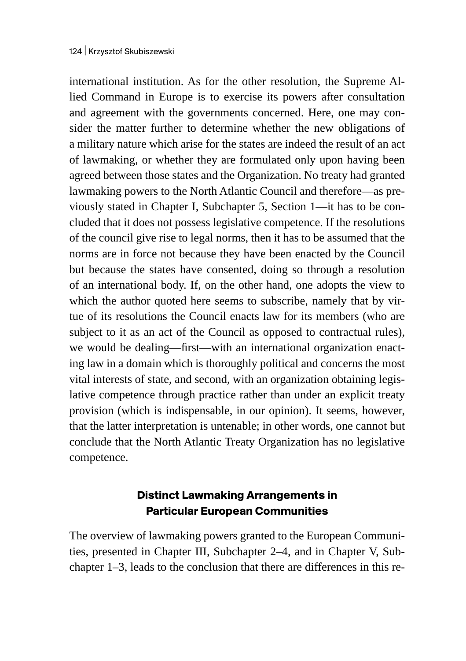international institution. As for the other resolution, the Supreme Allied Command in Europe is to exercise its powers after consultation and agreement with the governments concerned. Here, one may consider the matter further to determine whether the new obligations of a military nature which arise for the states are indeed the result of an act of lawmaking, or whether they are formulated only upon having been agreed between those states and the Organization. No treaty had granted lawmaking powers to the North Atlantic Council and therefore—as previously stated in Chapter I, Subchapter 5, Section 1—it has to be concluded that it does not possess legislative competence. If the resolutions of the council give rise to legal norms, then it has to be assumed that the norms are in force not because they have been enacted by the Council but because the states have consented, doing so through a resolution of an international body. If, on the other hand, one adopts the view to which the author quoted here seems to subscribe, namely that by virtue of its resolutions the Council enacts law for its members (who are subject to it as an act of the Council as opposed to contractual rules), we would be dealing—first—with an international organization enacting law in a domain which is thoroughly political and concerns the most vital interests of state, and second, with an organization obtaining legislative competence through practice rather than under an explicit treaty provision (which is indispensable, in our opinion). It seems, however, that the latter interpretation is untenable; in other words, one cannot but conclude that the North Atlantic Treaty Organization has no legislative competence.

### **Distinct Lawmaking Arrangements in Particular European Communities**

The overview of lawmaking powers granted to the European Communities, presented in Chapter III, Subchapter 2–4, and in Chapter V, Subchapter 1–3, leads to the conclusion that there are differences in this re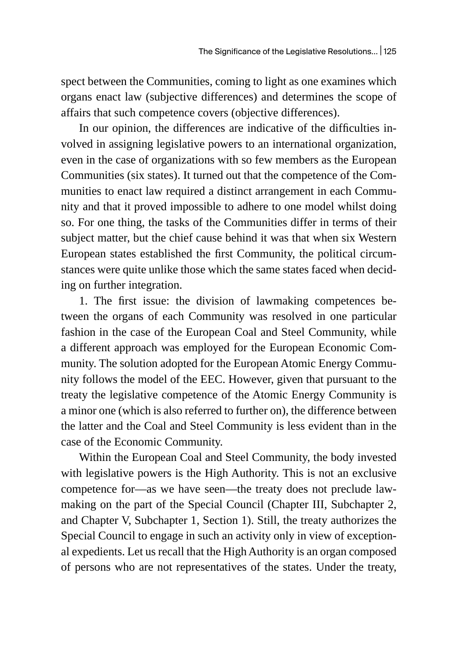spect between the Communities, coming to light as one examines which organs enact law (subjective differences) and determines the scope of affairs that such competence covers (objective differences).

In our opinion, the differences are indicative of the difficulties involved in assigning legislative powers to an international organization, even in the case of organizations with so few members as the European Communities (six states). It turned out that the competence of the Communities to enact law required a distinct arrangement in each Community and that it proved impossible to adhere to one model whilst doing so. For one thing, the tasks of the Communities differ in terms of their subject matter, but the chief cause behind it was that when six Western European states established the first Community, the political circumstances were quite unlike those which the same states faced when deciding on further integration.

1. The first issue: the division of lawmaking competences between the organs of each Community was resolved in one particular fashion in the case of the European Coal and Steel Community, while a different approach was employed for the European Economic Community. The solution adopted for the European Atomic Energy Community follows the model of the EEC. However, given that pursuant to the treaty the legislative competence of the Atomic Energy Community is a minor one (which is also referred to further on), the difference between the latter and the Coal and Steel Community is less evident than in the case of the Economic Community.

Within the European Coal and Steel Community, the body invested with legislative powers is the High Authority. This is not an exclusive competence for—as we have seen—the treaty does not preclude lawmaking on the part of the Special Council (Chapter III, Subchapter 2, and Chapter V, Subchapter 1, Section 1). Still, the treaty authorizes the Special Council to engage in such an activity only in view of exceptional expedients. Let us recall that the High Authority is an organ composed of persons who are not representatives of the states. Under the treaty,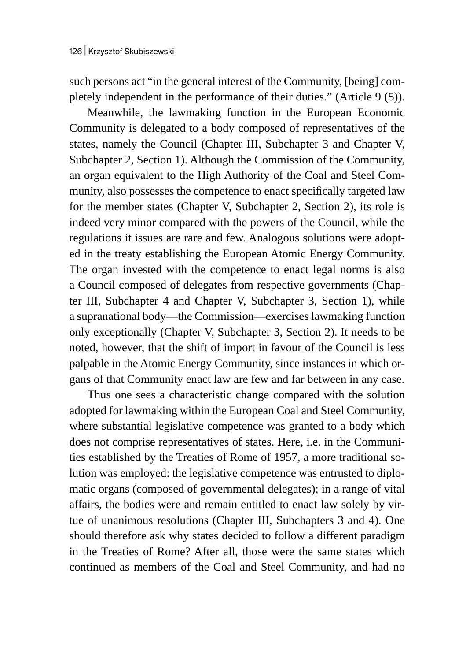such persons act "in the general interest of the Community, [being] completely independent in the performance of their duties." (Article 9 (5)).

Meanwhile, the lawmaking function in the European Economic Community is delegated to a body composed of representatives of the states, namely the Council (Chapter III, Subchapter 3 and Chapter V, Subchapter 2, Section 1). Although the Commission of the Community, an organ equivalent to the High Authority of the Coal and Steel Community, also possesses the competence to enact specifically targeted law for the member states (Chapter V, Subchapter 2, Section 2), its role is indeed very minor compared with the powers of the Council, while the regulations it issues are rare and few. Analogous solutions were adopted in the treaty establishing the European Atomic Energy Community. The organ invested with the competence to enact legal norms is also a Council composed of delegates from respective governments (Chapter III, Subchapter 4 and Chapter V, Subchapter 3, Section 1), while a supranational body—the Commission—exercises lawmaking function only exceptionally (Chapter V, Subchapter 3, Section 2). It needs to be noted, however, that the shift of import in favour of the Council is less palpable in the Atomic Energy Community, since instances in which organs of that Community enact law are few and far between in any case.

Thus one sees a characteristic change compared with the solution adopted for lawmaking within the European Coal and Steel Community, where substantial legislative competence was granted to a body which does not comprise representatives of states. Here, i.e. in the Communities established by the Treaties of Rome of 1957, a more traditional solution was employed: the legislative competence was entrusted to diplomatic organs (composed of governmental delegates); in a range of vital affairs, the bodies were and remain entitled to enact law solely by virtue of unanimous resolutions (Chapter III, Subchapters 3 and 4). One should therefore ask why states decided to follow a different paradigm in the Treaties of Rome? After all, those were the same states which continued as members of the Coal and Steel Community, and had no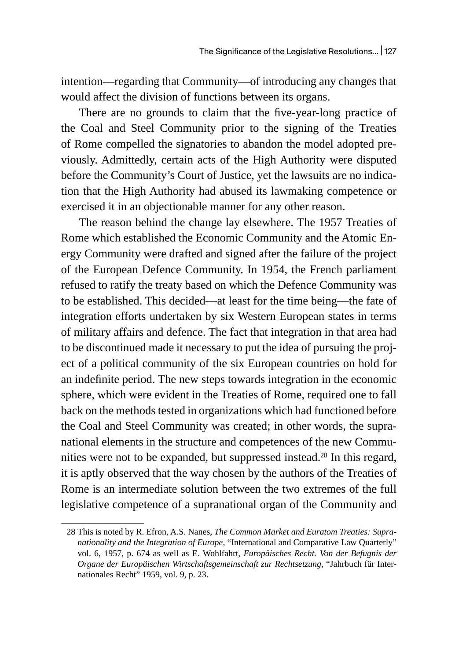intention—regarding that Community—of introducing any changes that would affect the division of functions between its organs.

There are no grounds to claim that the five-year-long practice of the Coal and Steel Community prior to the signing of the Treaties of Rome compelled the signatories to abandon the model adopted previously. Admittedly, certain acts of the High Authority were disputed before the Community's Court of Justice, yet the lawsuits are no indication that the High Authority had abused its lawmaking competence or exercised it in an objectionable manner for any other reason.

The reason behind the change lay elsewhere. The 1957 Treaties of Rome which established the Economic Community and the Atomic Energy Community were drafted and signed after the failure of the project of the European Defence Community. In 1954, the French parliament refused to ratify the treaty based on which the Defence Community was to be established. This decided—at least for the time being—the fate of integration efforts undertaken by six Western European states in terms of military affairs and defence. The fact that integration in that area had to be discontinued made it necessary to put the idea of pursuing the project of a political community of the six European countries on hold for an indefinite period. The new steps towards integration in the economic sphere, which were evident in the Treaties of Rome, required one to fall back on the methods tested in organizations which had functioned before the Coal and Steel Community was created; in other words, the supranational elements in the structure and competences of the new Communities were not to be expanded, but suppressed instead.<sup>28</sup> In this regard, it is aptly observed that the way chosen by the authors of the Treaties of Rome is an intermediate solution between the two extremes of the full legislative competence of a supranational organ of the Community and

<sup>28</sup> This is noted by R. Efron, A.S. Nanes, *The Common Market and Euratom Treaties: Supranationality and the Integration of Europe*, "International and Comparative Law Quarterly" vol. 6, 1957, p. 674 as well as E. Wohlfahrt, *Europäisches Recht. Von der Befugnis der Organe der Europäischen Wirtschaftsgemeinschaft zur Rechtsetzung*, "Jahrbuch für Internationales Recht" 1959, vol. 9, p. 23.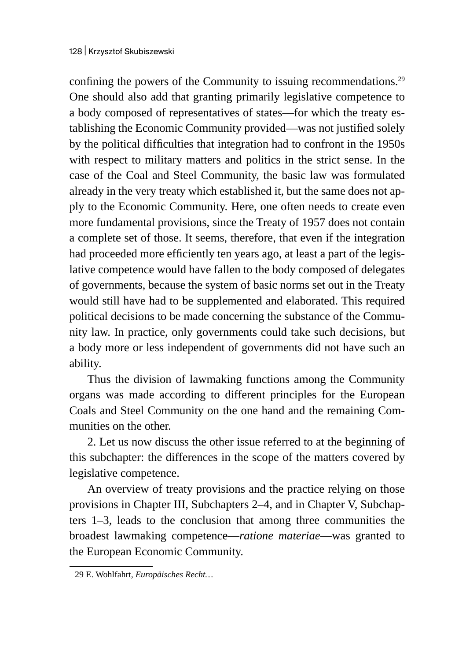confining the powers of the Community to issuing recommendations.<sup>29</sup> One should also add that granting primarily legislative competence to a body composed of representatives of states—for which the treaty establishing the Economic Community provided—was not justified solely by the political difficulties that integration had to confront in the 1950s with respect to military matters and politics in the strict sense. In the case of the Coal and Steel Community, the basic law was formulated already in the very treaty which established it, but the same does not apply to the Economic Community. Here, one often needs to create even more fundamental provisions, since the Treaty of 1957 does not contain a complete set of those. It seems, therefore, that even if the integration had proceeded more efficiently ten years ago, at least a part of the legislative competence would have fallen to the body composed of delegates of governments, because the system of basic norms set out in the Treaty would still have had to be supplemented and elaborated. This required political decisions to be made concerning the substance of the Community law. In practice, only governments could take such decisions, but a body more or less independent of governments did not have such an ability.

Thus the division of lawmaking functions among the Community organs was made according to different principles for the European Coals and Steel Community on the one hand and the remaining Communities on the other.

2. Let us now discuss the other issue referred to at the beginning of this subchapter: the differences in the scope of the matters covered by legislative competence.

An overview of treaty provisions and the practice relying on those provisions in Chapter III, Subchapters 2–4, and in Chapter V, Subchapters 1–3, leads to the conclusion that among three communities the broadest lawmaking competence—*ratione materiae*—was granted to the European Economic Community.

<sup>29</sup> E. Wohlfahrt, *Europäisches Recht…*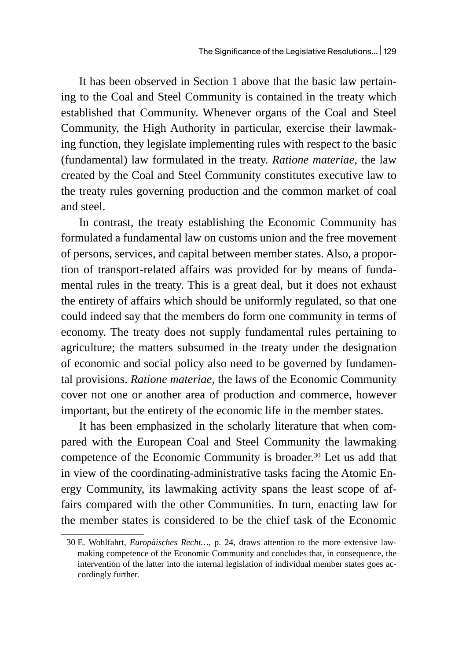It has been observed in Section 1 above that the basic law pertaining to the Coal and Steel Community is contained in the treaty which established that Community. Whenever organs of the Coal and Steel Community, the High Authority in particular, exercise their lawmaking function, they legislate implementing rules with respect to the basic (fundamental) law formulated in the treaty. *Ratione materiae,* the law created by the Coal and Steel Community constitutes executive law to the treaty rules governing production and the common market of coal and steel.

In contrast, the treaty establishing the Economic Community has formulated a fundamental law on customs union and the free movement of persons, services, and capital between member states. Also, a proportion of transport-related affairs was provided for by means of fundamental rules in the treaty. This is a great deal, but it does not exhaust the entirety of affairs which should be uniformly regulated, so that one could indeed say that the members do form one community in terms of economy. The treaty does not supply fundamental rules pertaining to agriculture; the matters subsumed in the treaty under the designation of economic and social policy also need to be governed by fundamental provisions. *Ratione materiae*, the laws of the Economic Community cover not one or another area of production and commerce, however important, but the entirety of the economic life in the member states.

It has been emphasized in the scholarly literature that when compared with the European Coal and Steel Community the lawmaking competence of the Economic Community is broader.30 Let us add that in view of the coordinating-administrative tasks facing the Atomic Energy Community, its lawmaking activity spans the least scope of affairs compared with the other Communities. In turn, enacting law for the member states is considered to be the chief task of the Economic

<sup>30</sup> E. Wohlfahrt, *Europäisches Recht…*, p. 24, draws attention to the more extensive lawmaking competence of the Economic Community and concludes that, in consequence, the intervention of the latter into the internal legislation of individual member states goes accordingly further.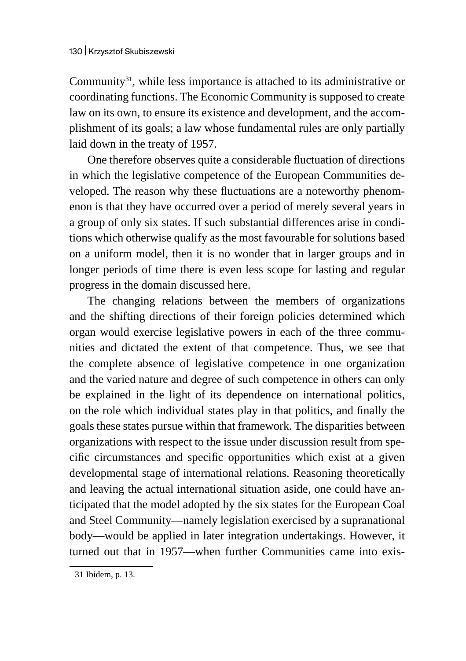Community<sup>31</sup>, while less importance is attached to its administrative or coordinating functions. The Economic Community is supposed to create law on its own, to ensure its existence and development, and the accomplishment of its goals; a law whose fundamental rules are only partially laid down in the treaty of 1957.

One therefore observes quite a considerable fluctuation of directions in which the legislative competence of the European Communities developed. The reason why these fluctuations are a noteworthy phenomenon is that they have occurred over a period of merely several years in a group of only six states. If such substantial differences arise in conditions which otherwise qualify as the most favourable for solutions based on a uniform model, then it is no wonder that in larger groups and in longer periods of time there is even less scope for lasting and regular progress in the domain discussed here.

The changing relations between the members of organizations and the shifting directions of their foreign policies determined which organ would exercise legislative powers in each of the three communities and dictated the extent of that competence. Thus, we see that the complete absence of legislative competence in one organization and the varied nature and degree of such competence in others can only be explained in the light of its dependence on international politics, on the role which individual states play in that politics, and finally the goals these states pursue within that framework. The disparities between organizations with respect to the issue under discussion result from specific circumstances and specific opportunities which exist at a given developmental stage of international relations. Reasoning theoretically and leaving the actual international situation aside, one could have anticipated that the model adopted by the six states for the European Coal and Steel Community—namely legislation exercised by a supranational body—would be applied in later integration undertakings. However, it turned out that in 1957—when further Communities came into exis-

<sup>31</sup> Ibidem, p. 13.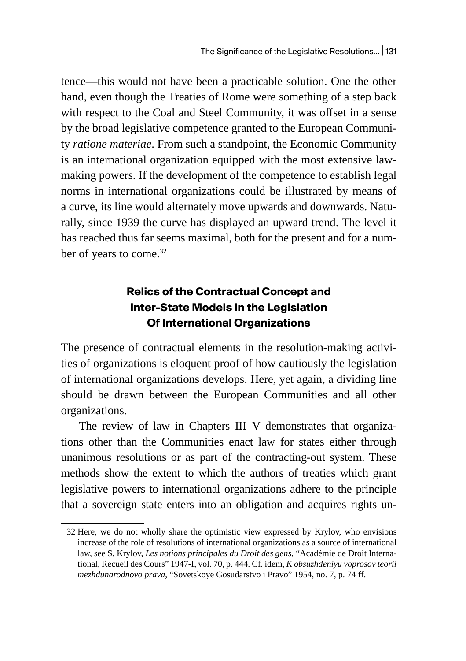tence—this would not have been a practicable solution. One the other hand, even though the Treaties of Rome were something of a step back with respect to the Coal and Steel Community, it was offset in a sense by the broad legislative competence granted to the European Community *ratione materiae*. From such a standpoint, the Economic Community is an international organization equipped with the most extensive lawmaking powers. If the development of the competence to establish legal norms in international organizations could be illustrated by means of a curve, its line would alternately move upwards and downwards. Naturally, since 1939 the curve has displayed an upward trend. The level it has reached thus far seems maximal, both for the present and for a number of years to come.<sup>32</sup>

## **Relics of the Contractual Concept and Inter-State Models in the Legislation Of International Organizations**

The presence of contractual elements in the resolution-making activities of organizations is eloquent proof of how cautiously the legislation of international organizations develops. Here, yet again, a dividing line should be drawn between the European Communities and all other organizations.

The review of law in Chapters III–V demonstrates that organizations other than the Communities enact law for states either through unanimous resolutions or as part of the contracting-out system. These methods show the extent to which the authors of treaties which grant legislative powers to international organizations adhere to the principle that a sovereign state enters into an obligation and acquires rights un-

<sup>32</sup> Here, we do not wholly share the optimistic view expressed by Krylov, who envisions increase of the role of resolutions of international organizations as a source of international law, see S. Krylov, *Les notions principales du Droit des gens*, "Académie de Droit International, Recueil des Cours" 1947-I, vol. 70, p. 444. Cf. idem, *K obsuzhdeniyu voprosov teorii mezhdunarodnovo prava*, "Sovetskoye Gosudarstvo i Pravo" 1954, no. 7, p. 74 ff.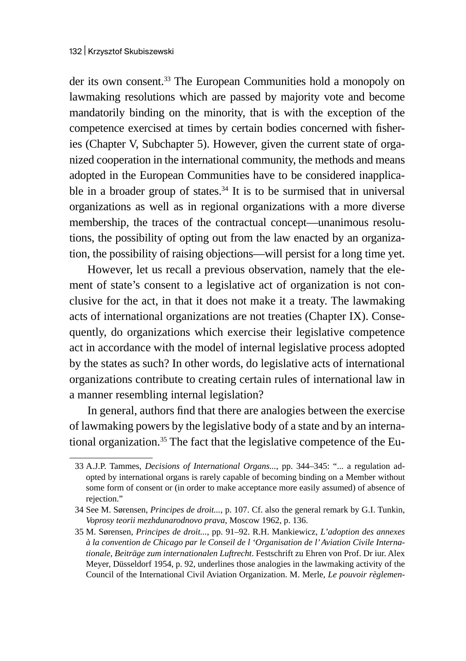der its own consent.33 The European Communities hold a monopoly on lawmaking resolutions which are passed by majority vote and become mandatorily binding on the minority, that is with the exception of the competence exercised at times by certain bodies concerned with fisheries (Chapter V, Subchapter 5). However, given the current state of organized cooperation in the international community, the methods and means adopted in the European Communities have to be considered inapplicable in a broader group of states. $34$  It is to be surmised that in universal organizations as well as in regional organizations with a more diverse membership, the traces of the contractual concept—unanimous resolutions, the possibility of opting out from the law enacted by an organization, the possibility of raising objections—will persist for a long time yet.

However, let us recall a previous observation, namely that the element of state's consent to a legislative act of organization is not conclusive for the act, in that it does not make it a treaty. The lawmaking acts of international organizations are not treaties (Chapter IX). Consequently, do organizations which exercise their legislative competence act in accordance with the model of internal legislative process adopted by the states as such? In other words, do legislative acts of international organizations contribute to creating certain rules of international law in a manner resembling internal legislation?

In general, authors find that there are analogies between the exercise of lawmaking powers by the legislative body of a state and by an international organization. $35$  The fact that the legislative competence of the Eu-

<sup>33</sup> A.J.P. Tammes, *Decisions of International Organs...*, pp. 344–345: "... a regulation adopted by international organs is rarely capable of becoming binding on a Member without some form of consent or (in order to make acceptance more easily assumed) of absence of rejection."

<sup>34</sup> See M. Sørensen, *Principes de droit...*, p. 107. Cf. also the general remark by G.I. Tunkin, *Voprosy teorii mezhdunarodnovo prava*, Moscow 1962, p. 136.

<sup>35</sup> M. Sørensen, *Principes de droit...*, pp. 91–92. R.H. Mankiewicz, *L'adoption des annexes à la convention de Chicago par le Conseil de l 'Organisation de l' Aviation Civile Internationale, Beiträge zum internationalen Luftrecht*. Festschrift zu Ehren von Prof. Dr iur. Alex Meyer, Düsseldorf 1954, p. 92, underlines those analogies in the lawmaking activity of the Council of the International Civil Aviation Organization. M. Merle, *Le pouvoir règlemen-*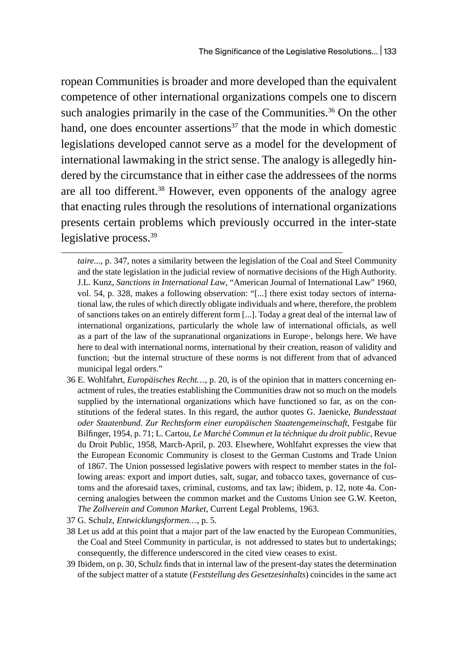ropean Communities is broader and more developed than the equivalent competence of other international organizations compels one to discern such analogies primarily in the case of the Communities.<sup>36</sup> On the other hand, one does encounter assertions<sup>37</sup> that the mode in which domestic legislations developed cannot serve as a model for the development of international lawmaking in the strict sense. The analogy is allegedly hindered by the circumstance that in either case the addressees of the norms are all too different.<sup>38</sup> However, even opponents of the analogy agree that enacting rules through the resolutions of international organizations presents certain problems which previously occurred in the inter-state legislative process.<sup>39</sup>

- 36 E. Wohlfahrt, *Europäisches Recht…*, p. 20, is of the opinion that in matters concerning enactment of rules, the treaties establishing the Communities draw not so much on the models supplied by the international organizations which have functioned so far, as on the constitutions of the federal states. In this regard, the author quotes G. Jaenicke, *Bundesstaat oder Staatenbund. Zur Rechtsform einer europäischen Staatengemeinschaft*, Festgabe für Bilfinger, 1954, p. 71; L. Cartou, *Le Marché Commun et la téchnique du droit public*, Revue du Droit Public, 1958, March-April, p. 203. Elsewhere, Wohlfahrt expresses the view that the European Economic Community is closest to the German Customs and Trade Union of 1867. The Union possessed legislative powers with respect to member states in the following areas: export and import duties, salt, sugar, and tobacco taxes, governance of customs and the aforesaid taxes, criminal, customs, and tax law; ibidem, p. 12, note 4a. Concerning analogies between the common market and the Customs Union see G.W. Keeton, *The Zollverein and Common Market*, Current Legal Problems, 1963.
- 37 G. Schulz, *Entwicklungsformen…*, p. 5.
- 38 Let us add at this point that a major part of the law enacted by the European Communities, the Coal and Steel Community in particular, is not addressed to states but to undertakings; consequently, the difference underscored in the cited view ceases to exist.
- 39 Ibidem, on p. 30, Schulz finds that in internal law of the present-day states the determination of the subject matter of a statute (*Feststellung des Gesetzesinhalts*) coincides in the same act

*taire...*, p. 347, notes a similarity between the legislation of the Coal and Steel Community and the state legislation in the judicial review of normative decisions of the High Authority. J.L. Kunz, *Sanctions in International Law*, "American Journal of International Law" 1960, vol. 54, p. 328, makes a following observation: "[...] there exist today sectors of international law, the rules of which directly obligate individuals and where, therefore, the problem of sanctions takes on an entirely different form [...]. Today a great deal of the internal law of international organizations, particularly the whole law of international officials, as well as a part of the law of the supranational organizations in Europe·, belongs here. We have here to deal with international norms, international by their creation, reason of validity and function; ·but the internal structure of these norms is not different from that of advanced municipal legal orders."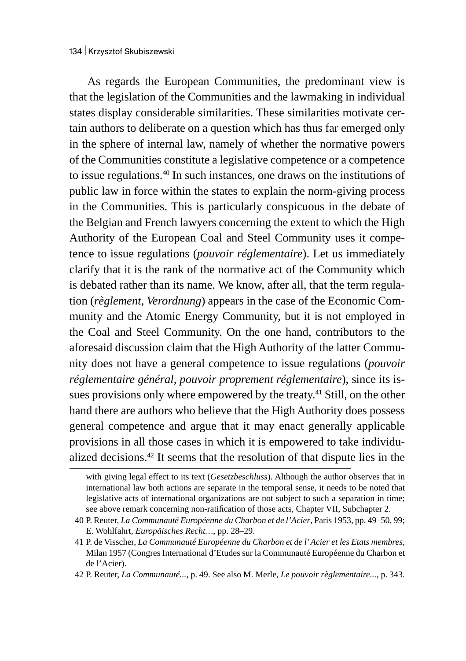As regards the European Communities, the predominant view is that the legislation of the Communities and the lawmaking in individual states display considerable similarities. These similarities motivate certain authors to deliberate on a question which has thus far emerged only in the sphere of internal law, namely of whether the normative powers of the Communities constitute a legislative competence or a competence to issue regulations.40 In such instances, one draws on the institutions of public law in force within the states to explain the norm-giving process in the Communities. This is particularly conspicuous in the debate of the Belgian and French lawyers concerning the extent to which the High Authority of the European Coal and Steel Community uses it competence to issue regulations (*pouvoir réglementaire*). Let us immediately clarify that it is the rank of the normative act of the Community which is debated rather than its name. We know, after all, that the term regulation (*règlement*, *Verordnung*) appears in the case of the Economic Community and the Atomic Energy Community, but it is not employed in the Coal and Steel Community. On the one hand, contributors to the aforesaid discussion claim that the High Authority of the latter Community does not have a general competence to issue regulations (*pouvoir réglementaire général, pouvoir proprement réglementaire*), since its issues provisions only where empowered by the treaty.<sup>41</sup> Still, on the other hand there are authors who believe that the High Authority does possess general competence and argue that it may enact generally applicable provisions in all those cases in which it is empowered to take individualized decisions.42 It seems that the resolution of that dispute lies in the

with giving legal effect to its text (*Gesetzbeschluss*). Although the author observes that in international law both actions are separate in the temporal sense, it needs to be noted that legislative acts of international organizations are not subject to such a separation in time; see above remark concerning non-ratification of those acts, Chapter VII, Subchapter 2.

<sup>40</sup> P. Reuter, *La Communauté Européenne du Charbon et de l'Acier*, Paris 1953, pp. 49–50, 99; E. Wohlfahrt, *Europäisches Recht…*, pp. 28–29.

<sup>41</sup> P. de Visscher, *La Communauté Européenne du Charbon et de l' Acier et les Etats membres*, Milan 1957 (Congres International d'Etudes sur la Communauté Européenne du Charbon et de l'Acier).

<sup>42</sup> P. Reuter, *La Communauté...*, p. 49. See also M. Merle, *Le pouvoir règlementaire...*, p. 343.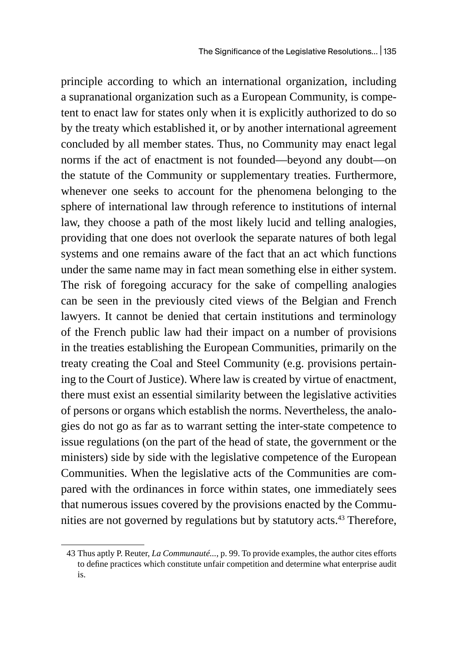principle according to which an international organization, including a supranational organization such as a European Community, is competent to enact law for states only when it is explicitly authorized to do so by the treaty which established it, or by another international agreement concluded by all member states. Thus, no Community may enact legal norms if the act of enactment is not founded—beyond any doubt—on the statute of the Community or supplementary treaties. Furthermore, whenever one seeks to account for the phenomena belonging to the sphere of international law through reference to institutions of internal law, they choose a path of the most likely lucid and telling analogies, providing that one does not overlook the separate natures of both legal systems and one remains aware of the fact that an act which functions under the same name may in fact mean something else in either system. The risk of foregoing accuracy for the sake of compelling analogies can be seen in the previously cited views of the Belgian and French lawyers. It cannot be denied that certain institutions and terminology of the French public law had their impact on a number of provisions in the treaties establishing the European Communities, primarily on the treaty creating the Coal and Steel Community (e.g. provisions pertaining to the Court of Justice). Where law is created by virtue of enactment, there must exist an essential similarity between the legislative activities of persons or organs which establish the norms. Nevertheless, the analogies do not go as far as to warrant setting the inter-state competence to issue regulations (on the part of the head of state, the government or the ministers) side by side with the legislative competence of the European Communities. When the legislative acts of the Communities are compared with the ordinances in force within states, one immediately sees that numerous issues covered by the provisions enacted by the Communities are not governed by regulations but by statutory acts.<sup>43</sup> Therefore,

<sup>43</sup> Thus aptly P. Reuter, *La Communauté...*, p. 99. To provide examples, the author cites efforts to define practices which constitute unfair competition and determine what enterprise audit is.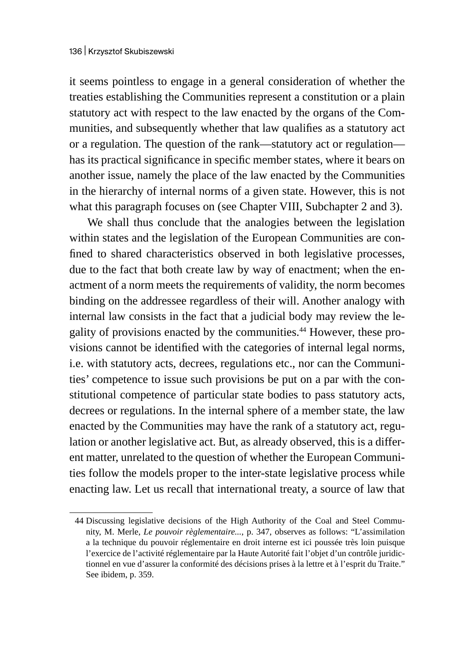it seems pointless to engage in a general consideration of whether the treaties establishing the Communities represent a constitution or a plain statutory act with respect to the law enacted by the organs of the Communities, and subsequently whether that law qualifies as a statutory act or a regulation. The question of the rank—statutory act or regulation has its practical significance in specific member states, where it bears on another issue, namely the place of the law enacted by the Communities in the hierarchy of internal norms of a given state. However, this is not what this paragraph focuses on (see Chapter VIII, Subchapter 2 and 3).

We shall thus conclude that the analogies between the legislation within states and the legislation of the European Communities are confined to shared characteristics observed in both legislative processes, due to the fact that both create law by way of enactment; when the enactment of a norm meets the requirements of validity, the norm becomes binding on the addressee regardless of their will. Another analogy with internal law consists in the fact that a judicial body may review the legality of provisions enacted by the communities.44 However, these provisions cannot be identified with the categories of internal legal norms, i.e. with statutory acts, decrees, regulations etc., nor can the Communities' competence to issue such provisions be put on a par with the constitutional competence of particular state bodies to pass statutory acts, decrees or regulations. In the internal sphere of a member state, the law enacted by the Communities may have the rank of a statutory act, regulation or another legislative act. But, as already observed, this is a different matter, unrelated to the question of whether the European Communities follow the models proper to the inter-state legislative process while enacting law. Let us recall that international treaty, a source of law that

<sup>44</sup> Discussing legislative decisions of the High Authority of the Coal and Steel Community, M. Merle, *Le pouvoir règlementaire...*, p. 347, observes as follows: "L'assimilation a la technique du pouvoir réglementaire en droit interne est ici poussée très loin puisque l'exercice de l'activité réglementaire par la Haute Autorité fait l'objet d'un contrôle juridictionnel en vue d'assurer la conformité des décisions prises à la lettre et à l'esprit du Traite." See ibidem, p. 359.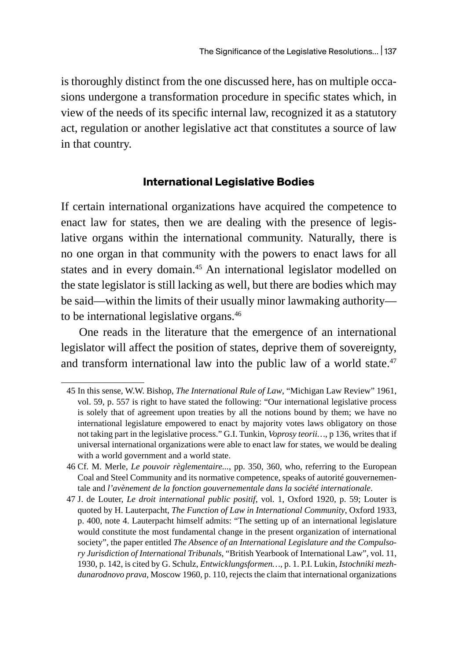is thoroughly distinct from the one discussed here, has on multiple occasions undergone a transformation procedure in specific states which, in view of the needs of its specific internal law, recognized it as a statutory act, regulation or another legislative act that constitutes a source of law in that country.

### **International Legislative Bodies**

If certain international organizations have acquired the competence to enact law for states, then we are dealing with the presence of legislative organs within the international community. Naturally, there is no one organ in that community with the powers to enact laws for all states and in every domain.<sup>45</sup> An international legislator modelled on the state legislator is still lacking as well, but there are bodies which may be said—within the limits of their usually minor lawmaking authority to be international legislative organs.<sup>46</sup>

One reads in the literature that the emergence of an international legislator will affect the position of states, deprive them of sovereignty, and transform international law into the public law of a world state.<sup>47</sup>

<sup>45</sup> In this sense, W.W. Bishop, *The International Rule of Law*, "Michigan Law Review" 1961, vol. 59, p. 557 is right to have stated the following: "Our international legislative process is solely that of agreement upon treaties by all the notions bound by them; we have no international legislature empowered to enact by majority votes laws obligatory on those not taking part in the legislative process." G.I. Tunkin, *Voprosy teorii…*, p 136, writes that if universal international organizations were able to enact law for states, we would be dealing with a world government and a world state.

<sup>46</sup> Cf. M. Merle, *Le pouvoir règlementaire...*, pp. 350, 360, who, referring to the European Coal and Steel Community and its normative competence, speaks of autorité gouvernementale and *l'avènement de la fonction gouvernementale dans la société internationale*.

<sup>47</sup> J. de Louter, *Le droit international public positif*, vol. 1, Oxford 1920, p. 59; Louter is quoted by H. Lauterpacht, *The Function of Law in International Community*, Oxford 1933, p. 400, note 4. Lauterpacht himself admits: "The setting up of an international legislature would constitute the most fundamental change in the present organization of international society", the paper entitled *The Absence of an International Legislature and the Compulsory Jurisdiction of International Tribunals*, "British Yearbook of International Law", vol. 11, 1930, p. 142, is cited by G. Schulz, *Entwicklungsformen…*, p. 1. P.I. Lukin, *Istochniki mezhdunarodnovo prava*, Moscow 1960, p. 110, rejects the claim that international organizations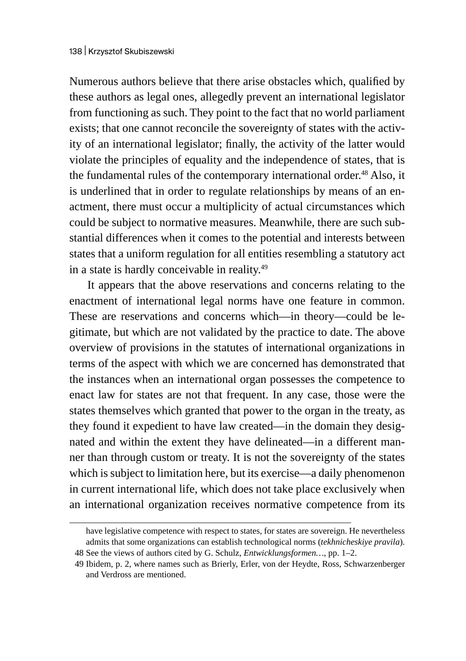Numerous authors believe that there arise obstacles which, qualified by these authors as legal ones, allegedly prevent an international legislator from functioning as such. They point to the fact that no world parliament exists; that one cannot reconcile the sovereignty of states with the activity of an international legislator; finally, the activity of the latter would violate the principles of equality and the independence of states, that is the fundamental rules of the contemporary international order.<sup>48</sup> Also, it is underlined that in order to regulate relationships by means of an enactment, there must occur a multiplicity of actual circumstances which could be subject to normative measures. Meanwhile, there are such substantial differences when it comes to the potential and interests between states that a uniform regulation for all entities resembling a statutory act in a state is hardly conceivable in reality.<sup>49</sup>

It appears that the above reservations and concerns relating to the enactment of international legal norms have one feature in common. These are reservations and concerns which—in theory—could be legitimate, but which are not validated by the practice to date. The above overview of provisions in the statutes of international organizations in terms of the aspect with which we are concerned has demonstrated that the instances when an international organ possesses the competence to enact law for states are not that frequent. In any case, those were the states themselves which granted that power to the organ in the treaty, as they found it expedient to have law created—in the domain they designated and within the extent they have delineated—in a different manner than through custom or treaty. It is not the sovereignty of the states which is subject to limitation here, but its exercise—a daily phenomenon in current international life, which does not take place exclusively when an international organization receives normative competence from its

have legislative competence with respect to states, for states are sovereign. He nevertheless admits that some organizations can establish technological norms (*tekhnicheskiye pravila*). 48 See the views of authors cited by G. Schulz, *Entwicklungsformen…*, pp. 1–2.

<sup>49</sup> Ibidem, p. 2, where names such as Brierly, Erler, von der Heydte, Ross, Schwarzenberger and Verdross are mentioned.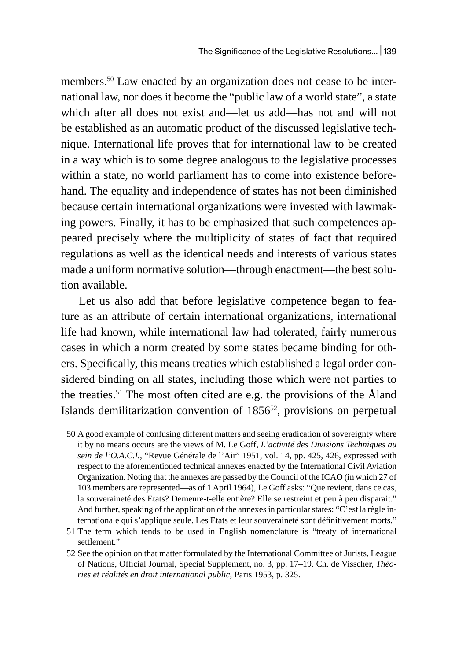members.50 Law enacted by an organization does not cease to be international law, nor does it become the "public law of a world state", a state which after all does not exist and—let us add—has not and will not be established as an automatic product of the discussed legislative technique. International life proves that for international law to be created in a way which is to some degree analogous to the legislative processes within a state, no world parliament has to come into existence beforehand. The equality and independence of states has not been diminished because certain international organizations were invested with lawmaking powers. Finally, it has to be emphasized that such competences appeared precisely where the multiplicity of states of fact that required regulations as well as the identical needs and interests of various states made a uniform normative solution—through enactment—the best solution available.

Let us also add that before legislative competence began to feature as an attribute of certain international organizations, international life had known, while international law had tolerated, fairly numerous cases in which a norm created by some states became binding for others. Specifically, this means treaties which established a legal order considered binding on all states, including those which were not parties to the treaties.<sup>51</sup> The most often cited are e.g. the provisions of the Åland Islands demilitarization convention of 1856<sup>52</sup>, provisions on perpetual

<sup>50</sup> A good example of confusing different matters and seeing eradication of sovereignty where it by no means occurs are the views of M. Le Goff, *L'activité des Divisions Techniques au sein de l'O.A.C.I.*, "Revue Générale de l'Air" 1951, vol. 14, pp. 425, 426, expressed with respect to the aforementioned technical annexes enacted by the International Civil Aviation Organization. Noting that the annexes are passed by the Council of the ICAO (in which 27 of 103 members are represented—as of 1 April 1964), Le Goff asks: "Que revient, dans ce cas, la souveraineté des Etats? Demeure-t-elle entière? Elle se restreint et peu à peu disparait." And further, speaking of the application of the annexes in particular states: "C'est la règle internationale qui s'applique seule. Les Etats et leur souveraineté sont définitivement morts."

<sup>51</sup> The term which tends to be used in English nomenclature is "treaty of international settlement."

<sup>52</sup> See the opinion on that matter formulated by the International Committee of Jurists, League of Nations, Official Journal, Special Supplement, no. 3, pp. 17–19. Ch. de Visscher, *Théories et réalités en droit international public*, Paris 1953, p. 325.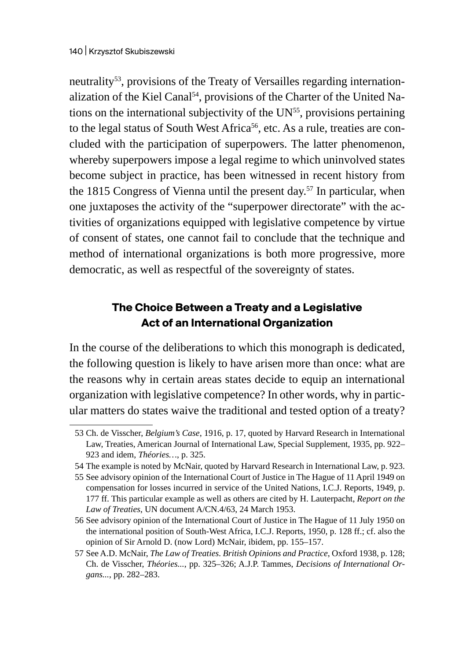neutrality<sup>53</sup>, provisions of the Treaty of Versailles regarding internationalization of the Kiel Canal<sup>54</sup>, provisions of the Charter of the United Nations on the international subjectivity of the UN<sup>55</sup>, provisions pertaining to the legal status of South West Africa<sup>56</sup>, etc. As a rule, treaties are concluded with the participation of superpowers. The latter phenomenon, whereby superpowers impose a legal regime to which uninvolved states become subject in practice, has been witnessed in recent history from the 1815 Congress of Vienna until the present day.<sup>57</sup> In particular, when one juxtaposes the activity of the "superpower directorate" with the activities of organizations equipped with legislative competence by virtue of consent of states, one cannot fail to conclude that the technique and method of international organizations is both more progressive, more democratic, as well as respectful of the sovereignty of states.

### **The Choice Between a Treaty and a Legislative Act of an International Organization**

In the course of the deliberations to which this monograph is dedicated, the following question is likely to have arisen more than once: what are the reasons why in certain areas states decide to equip an international organization with legislative competence? In other words, why in particular matters do states waive the traditional and tested option of a treaty?

<sup>53</sup> Ch. de Visscher, *Belgium's Case*, 1916, p. 17, quoted by Harvard Research in International Law, Treaties, American Journal of International Law, Special Supplement, 1935, pp. 922– 923 and idem, *Théories…*, p. 325.

<sup>54</sup> The example is noted by McNair, quoted by Harvard Research in International Law, p. 923.

<sup>55</sup> See advisory opinion of the International Court of Justice in The Hague of 11 April 1949 on compensation for losses incurred in service of the United Nations, I.C.J. Reports, 1949, p. 177 ff. This particular example as well as others are cited by H. Lauterpacht, *Report on the Law of Treaties*, UN document A/CN.4/63, 24 March 1953.

<sup>56</sup> See advisory opinion of the International Court of Justice in The Hague of 11 July 1950 on the international position of South-West Africa, I.C.J. Reports, 1950, p. 128 ff.; cf. also the opinion of Sir Arnold D. (now Lord) McNair, ibidem, pp. 155–157.

<sup>57</sup> See A.D. McNair, *The Law of Treaties. British Opinions and Practice*, Oxford 1938, p. 128; Ch. de Visscher, *Théories...*, pp. 325–326; A.J.P. Tammes, *Decisions of International Organs...*, pp. 282–283.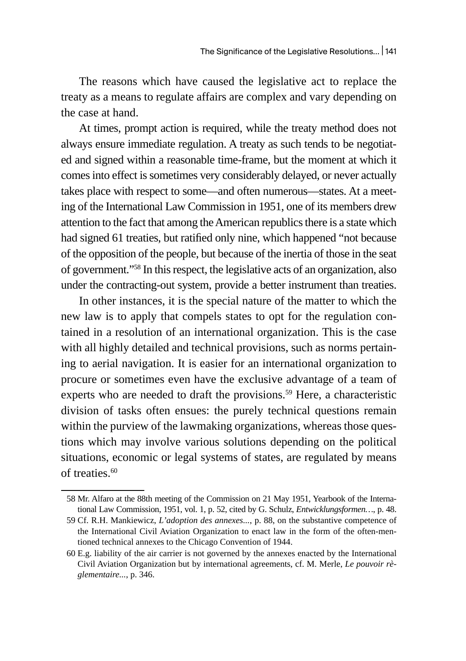The reasons which have caused the legislative act to replace the treaty as a means to regulate affairs are complex and vary depending on the case at hand.

At times, prompt action is required, while the treaty method does not always ensure immediate regulation. A treaty as such tends to be negotiated and signed within a reasonable time-frame, but the moment at which it comes into effect is sometimes very considerably delayed, or never actually takes place with respect to some—and often numerous—states. At a meeting of the International Law Commission in 1951, one of its members drew attention to the fact that among the American republics there is a state which had signed 61 treaties, but ratified only nine, which happened "not because of the opposition of the people, but because of the inertia of those in the seat of government."<sup>58</sup> In this respect, the legislative acts of an organization, also under the contracting-out system, provide a better instrument than treaties.

In other instances, it is the special nature of the matter to which the new law is to apply that compels states to opt for the regulation contained in a resolution of an international organization. This is the case with all highly detailed and technical provisions, such as norms pertaining to aerial navigation. It is easier for an international organization to procure or sometimes even have the exclusive advantage of a team of experts who are needed to draft the provisions.<sup>59</sup> Here, a characteristic division of tasks often ensues: the purely technical questions remain within the purview of the lawmaking organizations, whereas those questions which may involve various solutions depending on the political situations, economic or legal systems of states, are regulated by means of treaties. $60$ 

<sup>58</sup> Mr. Alfaro at the 88th meeting of the Commission on 21 May 1951, Yearbook of the International Law Commission, 1951, vol. 1, p. 52, cited by G. Schulz, *Entwicklungsformen…*, p. 48.

<sup>59</sup> Cf. R.H. Mankiewicz, *L'adoption des annexes...*, p. 88, on the substantive competence of the International Civil Aviation Organization to enact law in the form of the often-mentioned technical annexes to the Chicago Convention of 1944.

<sup>60</sup> E.g. liability of the air carrier is not governed by the annexes enacted by the International Civil Aviation Organization but by international agreements, cf. M. Merle, *Le pouvoir règlementaire...*, p. 346.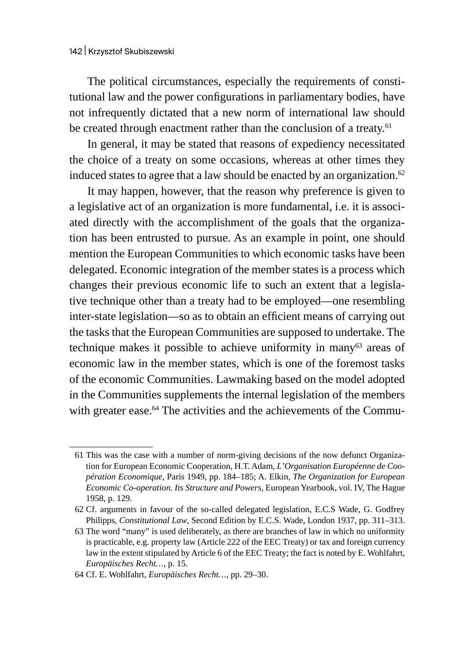The political circumstances, especially the requirements of constitutional law and the power configurations in parliamentary bodies, have not infrequently dictated that a new norm of international law should be created through enactment rather than the conclusion of a treaty.<sup>61</sup>

In general, it may be stated that reasons of expediency necessitated the choice of a treaty on some occasions, whereas at other times they induced states to agree that a law should be enacted by an organization.<sup>62</sup>

It may happen, however, that the reason why preference is given to a legislative act of an organization is more fundamental, i.e. it is associated directly with the accomplishment of the goals that the organization has been entrusted to pursue. As an example in point, one should mention the European Communities to which economic tasks have been delegated. Economic integration of the member states is a process which changes their previous economic life to such an extent that a legislative technique other than a treaty had to be employed—one resembling inter-state legislation—so as to obtain an efficient means of carrying out the tasks that the European Communities are supposed to undertake. The technique makes it possible to achieve uniformity in many<sup>63</sup> areas of economic law in the member states, which is one of the foremost tasks of the economic Communities. Lawmaking based on the model adopted in the Communities supplements the internal legislation of the members with greater ease.<sup>64</sup> The activities and the achievements of the Commu-

<sup>61</sup> This was the case with a number of norm-giving decisions of the now defunct Organization for European Economic Cooperation, H.T. Adam, *L'Organisation Européenne de Coopération Economique*, Paris 1949, pp. 184–185; A. Elkin, *The Organization for European Economic Co-operation. Its Structure and Powers*, European Yearbook, vol. IV, The Hague 1958, p. 129.

<sup>62</sup> Cf. arguments in favour of the so-called delegated legislation, E.C.S Wade, G. Godfrey Philipps, *Constitutional Law*, Second Edition by E.C.S. Wade, London 1937, pp. 311–313.

<sup>63</sup> The word "many" is used deliberately, as there are branches of law in which no uniformity is practicable, e.g. property law (Article 222 of the EEC Treaty) or tax and foreign currency law in the extent stipulated by Article 6 of the EEC Treaty; the fact is noted by E. Wohlfahrt, *Europäisches Recht…*, p. 15.

<sup>64</sup> Cf. E. Wohlfahrt, *Europäisches Recht…*, pp. 29–30.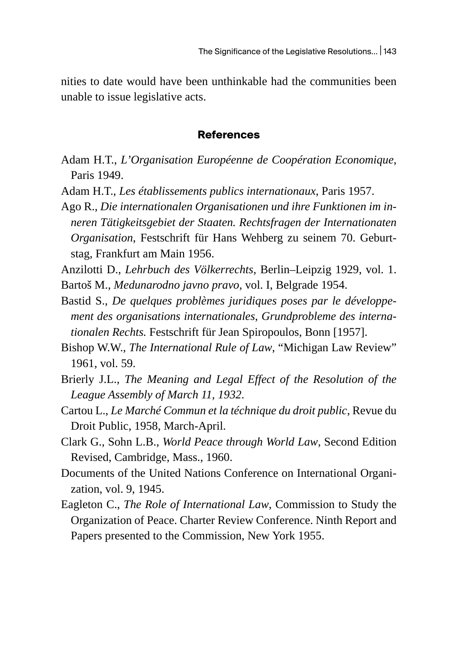nities to date would have been unthinkable had the communities been unable to issue legislative acts.

#### **References**

- Adam H.T., *L'Organisation Européenne de Coopération Economique*, Paris 1949.
- Adam H.T., *Les établissements publics internationaux*, Paris 1957.
- Ago R., *Die internationalen Organisationen und ihre Funktionen im inneren Tätigkeitsgebiet der Staaten. Rechtsfragen der Internationaten Organisation*, Festschrift für Hans Wehberg zu seinem 70. Geburtstag, Frankfurt am Main 1956.

Anzilotti D., *Lehrbuch des Völkerrechts*, Berlin–Leipzig 1929, vol. 1.

- Bartoš M., *Medunarodno javno pravo*, vol. I, Belgrade 1954.
- Bastid S., *De quelques problèmes juridiques poses par le développement des organisations internationales*, *Grundprobleme des internationalen Rechts.* Festschrift für Jean Spiropoulos, Bonn [1957].
- Bishop W.W., *The International Rule of Law*, "Michigan Law Review" 1961, vol. 59.
- Brierly J.L., *The Meaning and Legal Effect of the Resolution of the League Assembly of March 11, 1932*.
- Cartou L., *Le Marché Commun et la téchnique du droit public*, Revue du Droit Public, 1958, March-April.
- Clark G., Sohn L.B., *World Peace through World Law*, Second Edition Revised, Cambridge, Mass., 1960.
- Documents of the United Nations Conference on International Organization, vol. 9, 1945.
- Eagleton C., *The Role of International Law*, Commission to Study the Organization of Peace. Charter Review Conference. Ninth Report and Papers presented to the Commission, New York 1955.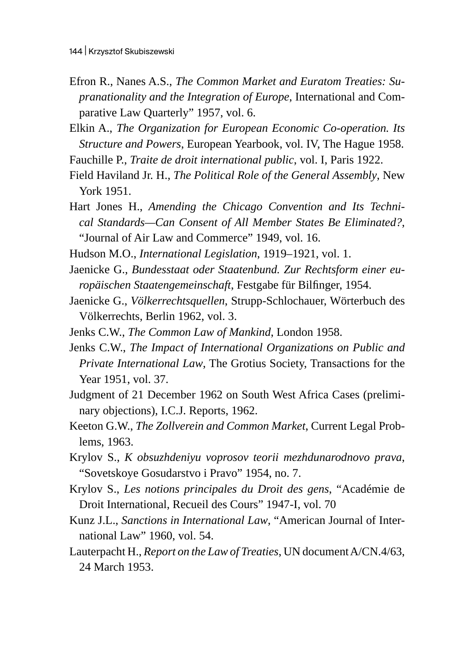- Efron R., Nanes A.S., *The Common Market and Euratom Treaties: Supranationality and the Integration of Europe*, International and Comparative Law Quarterly" 1957, vol. 6.
- Elkin A., *The Organization for European Economic Co-operation. Its Structure and Powers*, European Yearbook, vol. IV, The Hague 1958.
- Fauchille P., *Traite de droit international public*, vol. I, Paris 1922.
- Field Haviland Jr. H., *The Political Role of the General Assembly*, New York 1951.
- Hart Jones H., *Amending the Chicago Convention and Its Technical Standards—Can Consent of All Member States Be Eliminated?*, "Journal of Air Law and Commerce" 1949, vol. 16.
- Hudson M.O., *International Legislation*, 1919–1921, vol. 1.
- Jaenicke G., *Bundesstaat oder Staatenbund. Zur Rechtsform einer europäischen Staatengemeinschaft*, Festgabe für Bilfinger, 1954.
- Jaenicke G., *Völkerrechtsquellen*, Strupp-Schlochauer, Wörterbuch des Völkerrechts, Berlin 1962, vol. 3.
- Jenks C.W., *The Common Law of Mankind*, London 1958.
- Jenks C.W., *The Impact of International Organizations on Public and Private International Law*, The Grotius Society, Transactions for the Year 1951, vol. 37.
- Judgment of 21 December 1962 on South West Africa Cases (preliminary objections), I.C.J. Reports, 1962.
- Keeton G.W., *The Zollverein and Common Market*, Current Legal Problems, 1963.
- Krylov S., *K obsuzhdeniyu voprosov teorii mezhdunarodnovo prava*, "Sovetskoye Gosudarstvo i Pravo" 1954, no. 7.
- Krylov S., *Les notions principales du Droit des gens*, "Académie de Droit International, Recueil des Cours" 1947-I, vol. 70
- Kunz J.L., *Sanctions in International Law*, "American Journal of International Law" 1960, vol. 54.
- Lauterpacht H., *Report on the Law of Treaties*, UN document A/CN.4/63, 24 March 1953.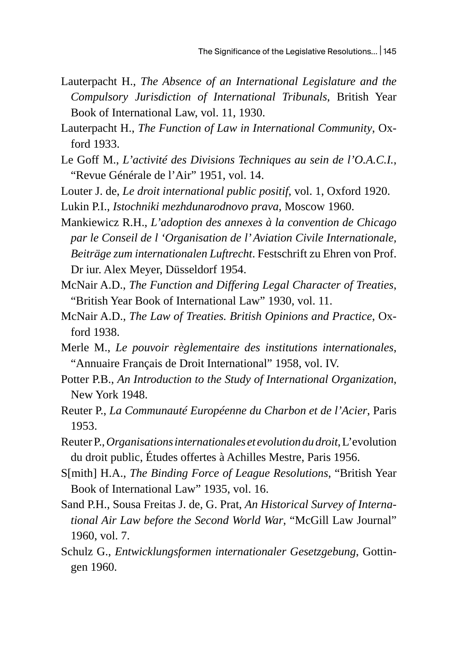- Lauterpacht H., *The Absence of an International Legislature and the Compulsory Jurisdiction of International Tribunals*, British Year Book of International Law, vol. 11, 1930.
- Lauterpacht H., *The Function of Law in International Community*, Oxford 1933.
- Le Goff M., *L'activité des Divisions Techniques au sein de l'O.A.C.I.*, "Revue Générale de l'Air" 1951, vol. 14.

Louter J. de, *Le droit international public positif*, vol. 1, Oxford 1920.

Lukin P.I., *Istochniki mezhdunarodnovo prava*, Moscow 1960.

Mankiewicz R.H., *L'adoption des annexes à la convention de Chicago par le Conseil de l 'Organisation de l' Aviation Civile Internationale, Beiträge zum internationalen Luftrecht*. Festschrift zu Ehren von Prof. Dr iur. Alex Meyer, Düsseldorf 1954.

- McNair A.D., *The Function and Differing Legal Character of Treaties*, "British Year Book of International Law" 1930, vol. 11.
- McNair A.D., *The Law of Treaties. British Opinions and Practice*, Oxford 1938.
- Merle M., *Le pouvoir règlementaire des institutions internationales*, "Annuaire Français de Droit International" 1958, vol. IV.
- Potter P.B., *An Introduction to the Study of International Organization*, New York 1948.
- Reuter P., *La Communauté Européenne du Charbon et de l'Acier*, Paris 1953.
- Reuter P., *Organisations internationales et evolution du droit*, L'evolution du droit public, Études offertes à Achilles Mestre, Paris 1956.
- S[mith] H.A., *The Binding Force of League Resolutions*, "British Year Book of International Law" 1935, vol. 16.
- Sand P.H., Sousa Freitas J. de, G. Prat, *An Historical Survey of International Air Law before the Second World War*, "McGill Law Journal" 1960, vol. 7.
- Schulz G., *Entwicklungsformen internationaler Gesetzgebung*, Gottingen 1960.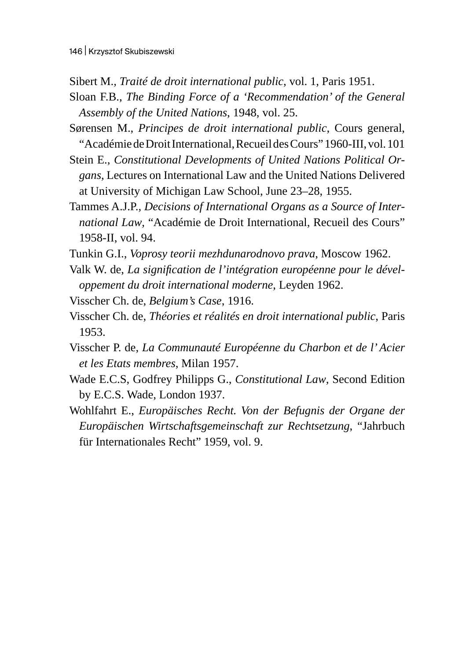- Sibert M., *Traité de droit international public*, vol. 1, Paris 1951.
- Sloan F.B., *The Binding Force of a 'Recommendation' of the General Assembly of the United Nations*, 1948, vol. 25.
- Sørensen M., *Principes de droit international public*, Cours general, "Académie de Droit International, Recueil des Cours" 1960-III,vol. 101
- Stein E., *Constitutional Developments of United Nations Political Organs*, Lectures on International Law and the United Nations Delivered at University of Michigan Law School, June 23–28, 1955.
- Tammes A.J.P., *Decisions of International Organs as a Source of International Law*, "Académie de Droit International, Recueil des Cours" 1958-II, vol. 94.
- Tunkin G.I., *Voprosy teorii mezhdunarodnovo prava*, Moscow 1962.
- Valk W. de, *La signification de l'intégration européenne pour le développement du droit international moderne*, Leyden 1962.
- Visscher Ch. de, *Belgium's Case*, 1916.
- Visscher Ch. de, *Théories et réalités en droit international public*, Paris 1953.
- Visscher P. de, *La Communauté Européenne du Charbon et de l' Acier et les Etats membres*, Milan 1957.
- Wade E.C.S, Godfrey Philipps G., *Constitutional Law*, Second Edition by E.C.S. Wade, London 1937.
- Wohlfahrt E., *Europäisches Recht. Von der Befugnis der Organe der Europäischen Wirtschaftsgemeinschaft zur Rechtsetzung*, "Jahrbuch für Internationales Recht" 1959, vol. 9.